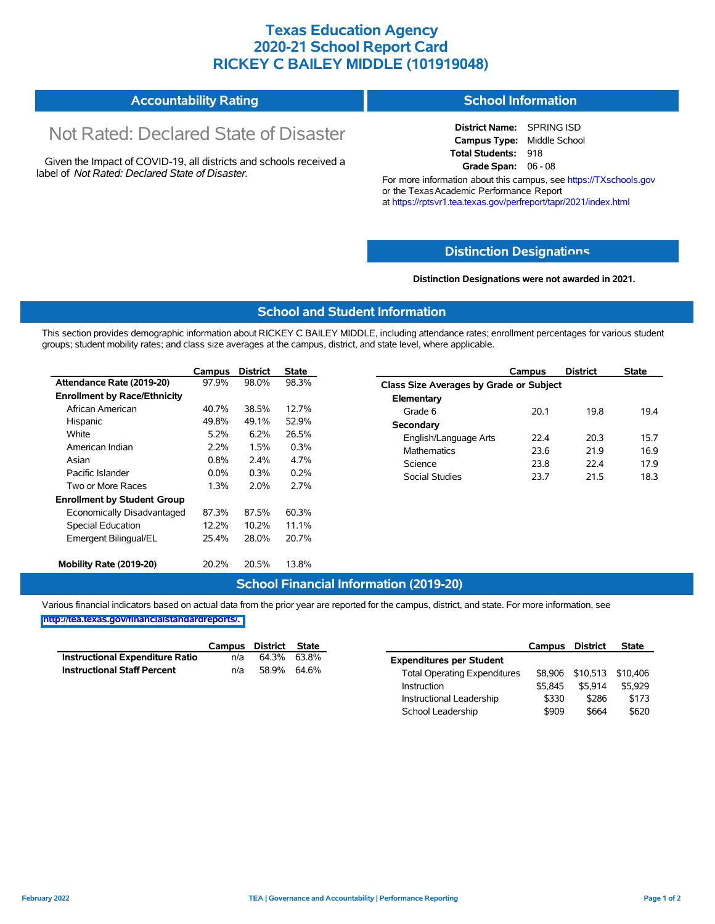# **Texas Education Agency 2020-21 School Report Card RICKEY C BAILEY MIDDLE (101919048)**

#### **Accountability Rating School Information**

# Not Rated: Declared State of Disaster

Given the Impact of COVID-19, all districts and schools received a label of *Not Rated: Declared State of Disaster.*

**District Name:** SPRING ISD **Campus Type:** Middle School **Total Students:** 918 **Grade Span:** 06 - 08

For more information about this campus, see https://TXschools.gov or the Texas Academic Performance Report at https://rptsvr1.tea.texas.gov/perfreport/tapr/2021/index.html

#### **Distinction Designat[ions](https://TXschools.gov)**

**Distinction Designations were not awarded in 2021.**

School Leadership  $$909$  \$664 \$620

#### **School and Student Information**

This section provides demographic information about RICKEY C BAILEY MIDDLE, including attendance rates; enrollment percentages for various student groups; student mobility rates; and class size averages at the campus, district, and state level, where applicable.

|                                     | Campus  | <b>District</b> | <b>State</b> | Campus                 | <b>District</b>                         | <b>State</b> |  |  |  |
|-------------------------------------|---------|-----------------|--------------|------------------------|-----------------------------------------|--------------|--|--|--|
| Attendance Rate (2019-20)           | 97.9%   | 98.0%           | 98.3%        |                        | Class Size Averages by Grade or Subject |              |  |  |  |
| <b>Enrollment by Race/Ethnicity</b> |         |                 |              | Elementary             |                                         |              |  |  |  |
| African American                    | 40.7%   | 38.5%           | 12.7%        | 20.1<br>Grade 6        | 19.8                                    | 19.4         |  |  |  |
| Hispanic                            | 49.8%   | 49.1%           | 52.9%        | Secondary              |                                         |              |  |  |  |
| White                               | 5.2%    | 6.2%            | 26.5%        | English/Language Arts  | 22.4<br>20.3                            | 15.7         |  |  |  |
| American Indian                     | 2.2%    | 1.5%            | 0.3%         | <b>Mathematics</b>     | 23.6<br>21.9                            | 16.9         |  |  |  |
| Asian                               | 0.8%    | 2.4%            | 4.7%         | Science<br>23.8        | 22.4                                    | 17.9         |  |  |  |
| Pacific Islander                    | $0.0\%$ | 0.3%            | 0.2%         | Social Studies<br>23.7 | 21.5                                    | 18.3         |  |  |  |
| Two or More Races                   | 1.3%    | 2.0%            | 2.7%         |                        |                                         |              |  |  |  |
| <b>Enrollment by Student Group</b>  |         |                 |              |                        |                                         |              |  |  |  |
| Economically Disadvantaged          | 87.3%   | 87.5%           | 60.3%        |                        |                                         |              |  |  |  |
| Special Education                   | 12.2%   | 10.2%           | 11.1%        |                        |                                         |              |  |  |  |
| Emergent Bilingual/EL               | 25.4%   | 28.0%           | 20.7%        |                        |                                         |              |  |  |  |
|                                     |         |                 |              |                        |                                         |              |  |  |  |
| Mobility Rate (2019-20)             | 20.2%   | 20.5%           | 13.8%        |                        |                                         |              |  |  |  |

### **School Financial Information (2019-20)**

Various financial indicators based on actual data from the prior year are reported for the campus, district, and state. For more information, see

**[http://tea.texas.gov/financialstandardreports/.](http://tea.texas.gov/financialstandardreports/)**

|                                    | Campus | District State |             |                                     | Campus  | <b>District</b>           | <b>State</b> |
|------------------------------------|--------|----------------|-------------|-------------------------------------|---------|---------------------------|--------------|
| Instructional Expenditure Ratio    | n/a    | 64.3% 63.8%    |             | <b>Expenditures per Student</b>     |         |                           |              |
| <b>Instructional Staff Percent</b> | n/a    |                | 58.9% 64.6% | <b>Total Operating Expenditures</b> |         | \$8,906 \$10,513 \$10,406 |              |
|                                    |        |                |             | Instruction                         | \$5.845 | \$5.914                   | \$5.929      |
|                                    |        |                |             | Instructional Leadership            | \$330   | \$286                     | \$173        |